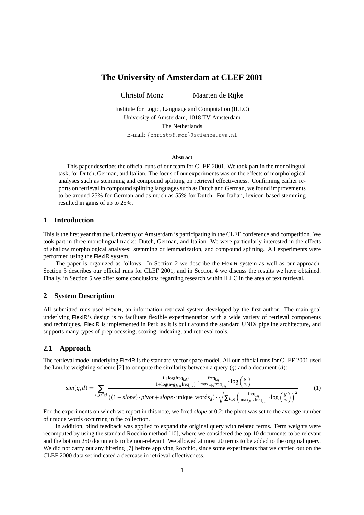# **The University of Amsterdam at CLEF 2001**

Christof Monz Maarten de Rijke

Institute for Logic, Language and Computation (ILLC) University of Amsterdam, 1018 TV Amsterdam The Netherlands E-mail: {christof,mdr}@science.uva.nl

#### **Abstract**

This paper describes the official runs of our team for CLEF-2001. We took part in the monolingual task, for Dutch, German, and Italian. The focus of our experiments was on the effects of morphological analyses such as stemming and compound splitting on retrieval effectiveness. Confirming earlier reports on retrieval in compound splitting languages such as Dutch and German, we found improvements to be around 25% for German and as much as 55% for Dutch. For Italian, lexicon-based stemming resulted in gains of up to 25%.

### **1 Introduction**

This is the first year that the University of Amsterdam is participating in the CLEF conference and competition. We took part in three monolingual tracks: Dutch, German, and Italian. We were particularly interested in the effects of shallow morphological analyses: stemming or lemmatization, and compound splitting. All experiments were performed using the FlexIR system.

The paper is organized as follows. In Section 2 we describe the FlexIR system as well as our approach. Section 3 describes our official runs for CLEF 2001, and in Section 4 we discuss the results we have obtained. Finally, in Section 5 we offer some conclusions regarding research within ILLC in the area of text retrieval.

### **2 System Description**

All submitted runs used FlexIR, an information retrieval system developed by the first author. The main goal underlying FlexIR's design is to facilitate flexible experimentation with a wide variety of retrieval components and techniques. FlexIR is implemented in Perl; as it is built around the standard UNIX pipeline architecture, and supports many types of preprocessing, scoring, indexing, and retrieval tools.

### **2.1 Approach**

The retrieval model underlying FlexIR is the standard vector space model. All our official runs for CLEF 2001 used the Lnu.ltc weighting scheme [2] to compute the similarity between a query (*q*) and a document (*d*):

$$
sim(q,d) = \sum_{i \in q \cap d} \frac{\frac{1 + \log(\text{freq}_{i,d})}{1 + \log(\text{avg}_{j \in d} \text{freq}_{j,d})} \cdot \frac{\text{freq}_{i,q}}{\max_{j \in q} \text{freq}_{j,q}} \cdot \log\left(\frac{N}{n_i}\right)}{(1 - slope) \cdot pivot + slope \cdot unique\_words_d) \cdot \sqrt{\sum_{i \in q} \left(\frac{\text{freq}_{i,q}}{\max_{j \in q} \text{freq}_{j,q}} \cdot \log\left(\frac{N}{n_i}\right)\right)^2}}
$$
(1)

For the experiments on which we report in this note, we fixed *slope* at 0.2; the pivot was set to the average number of unique words occurring in the collection.

In addition, blind feedback was applied to expand the original query with related terms. Term weights were recomputed by using the standard Rocchio method [10], where we considered the top 10 documents to be relevant and the bottom 250 documents to be non-relevant. We allowed at most 20 terms to be added to the original query. We did not carry out any filtering [7] before applying Rocchio, since some experiments that we carried out on the CLEF 2000 data set indicated a decrease in retrieval effectiveness.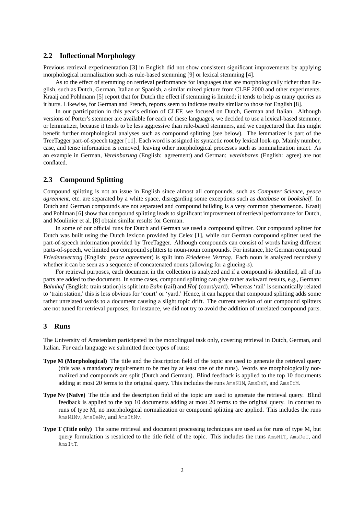#### **2.2 Inflectional Morphology**

Previous retrieval experimentation [3] in English did not show consistent significant improvements by applying morphological normalization such as rule-based stemming [9] or lexical stemming [4].

As to the effect of stemming on retrieval performance for languages that are morphologically richer than English, such as Dutch, German, Italian or Spanish, a similar mixed picture from CLEF 2000 and other experiments. Kraaij and Pohlmann [5] report that for Dutch the effect if stemming is limited; it tends to help as many queries as it hurts. Likewise, for German and French, reports seem to indicate results similar to those for English [8].

In our participation in this year's edition of CLEF, we focused on Dutch, German and Italian. Although versions of Porter's stemmer are available for each of these languages, we decided to use a lexical-based stemmer, or lemmatizer, because it tends to be less aggressive than rule-based stemmers, and we conjectured that this might benefit further morphological analyses such as compound splitting (see below). The lemmatizer is part of the TreeTagger part-of-speech tagger [11]. Each word is assigned its syntactic root by lexical look-up. Mainly number, case, and tense information is removed, leaving other morphological processes such as nominalization intact. As an example in German, *Vereinbarung* (English: agreement) and German: *vereinbaren* (English: agree) are not conflated.

### **2.3 Compound Splitting**

Compound splitting is not an issue in English since almost all compounds, such as *Computer Science*, *peace agreement*, etc. are separated by a white space, disregarding some exceptions such as *database* or *bookshelf*. In Dutch and German compounds are not separated and compound building is a very common phenomenon. Kraaij and Pohlman [6] show that compound splitting leads to significant improvement of retrieval performance for Dutch, and Moulinier et al. [8] obtain similar results for German.

In some of our official runs for Dutch and German we used a compound splitter. Our compound splitter for Dutch was built using the Dutch lexicon provided by Celex [1], while our German compound splitter used the part-of-speech information provided by TreeTagger. Although compounds can consist of words having different parts-of-speech, we limited our compound splitters to noun-noun compounds. For instance, hte German compound *Friedensvertrag* (English: *peace agreement*) is split into *Frieden*+s *Vertrag*. Each noun is analyzed recursively whether it can be seen as a sequence of concatenated nouns (allowing for a glueing-*s*).

For retrieval purposes, each document in the collection is analyzed and if a compound is identified, all of its parts are added to the document. In some cases, compound splitting can give rather awkward results, e.g., German: *Bahnhof* (English: train station) is split into *Bahn* (rail) and *Hof* (court/yard). Whereas 'rail' is semantically related to 'train station,' this is less obvious for 'court' or 'yard.' Hence, it can happen that compound splitting adds some rather unrelated words to a document causing a slight topic drift. The current version of our compound splitters are not tuned for retrieval purposes; for instance, we did not try to avoid the addition of unrelated compound parts.

#### **3 Runs**

The University of Amsterdam participated in the monolingual task only, covering retrieval in Dutch, German, and Italian. For each language we submitted three types of runs:

- **Type M (Morphological)** The title and the description field of the topic are used to generate the retrieval query (this was a mandatory requirement to be met by at least one of the runs). Words are morphologically normalized and compounds are split (Dutch and German). Blind feedback is applied to the top 10 documents adding at most 20 terms to the original query. This includes the runs AmsNLM, AmsDeM, and AmsItM.
- **Type Nv (Naïve)** The title and the description field of the topic are used to generate the retrieval query. Blind feedback is applied to the top 10 documents adding at most 20 terms to the original query. In contrast to runs of type M, no morphological normalization or compound splitting are applied. This includes the runs AmsNlNv, AmsDeNv, and AmsItNv.
- **Type T (Title only)** The same retrieval and document processing techniques are used as for runs of type M, but query formulation is restricted to the title field of the topic. This includes the runs AmsNlT, AmsDeT, and AmsItT.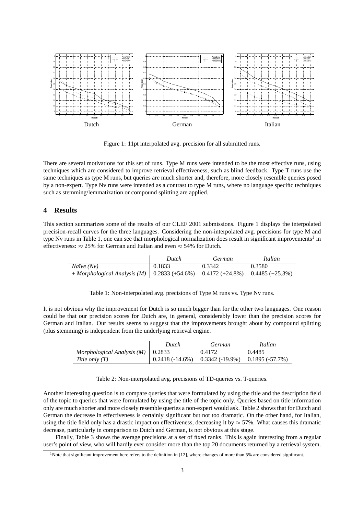

Figure 1: 11pt interpolated avg. precision for all submitted runs.

There are several motivations for this set of runs. Type M runs were intended to be the most effective runs, using techniques which are considered to improve retrieval effectiveness, such as blind feedback. Type T runs use the same techniques as type M runs, but queries are much shorter and, therefore, more closely resemble queries posed by a non-expert. Type Nv runs were intended as a contrast to type M runs, where no language specific techniques such as stemming/lemmatization or compound splitting are applied.

# **4 Results**

This section summarizes some of the results of our CLEF 2001 submissions. Figure 1 displays the interpolated precision-recall curves for the three languages. Considering the non-interpolated avg. precisions for type M and type Nv runs in Table 1, one can see that morphological normalization does result in significant improvements<sup>1</sup> in effectiveness:  $\approx 25\%$  for German and Italian and even  $\approx 54\%$  for Dutch.

|                                                                                  | Dutch  | German | Italian |
|----------------------------------------------------------------------------------|--------|--------|---------|
| Naïve (Nv)                                                                       | 0.1833 | 0.3342 | 0.3580  |
| $+ Morphological Analysis (M)   0.2833 (+54.6%) 0.4172 (+24.8%) 0.4485 (+25.3%)$ |        |        |         |

Table 1: Non-interpolated avg. precisions of Type M runs vs. Type Nv runs.

It is not obvious why the improvement for Dutch is so much bigger than for the other two languages. One reason could be that our precision scores for Dutch are, in general, considerably lower than the precision scores for German and Italian. Our results seems to suggest that the improvements brought about by compound splitting (plus stemming) is independent from the underlying retrieval engine.

|                                       | Dutch | German                                             | Italian |
|---------------------------------------|-------|----------------------------------------------------|---------|
| Morphological Analysis $(M)$   0.2833 |       | 0.4172                                             | 0.4485  |
| Title only $(T)$                      |       | $0.2418(-14.6%)$ $0.3342(-19.9%)$ $0.1895(-57.7%)$ |         |

Table 2: Non-interpolated avg. precisions of TD-queries vs. T-queries.

Another interesting question is to compare queries that were formulated by using the title and the description field of the topic to queries that were formulated by using the title of the topic only. Queries based on title information only are much shorter and more closely resemble queries a non-expert would ask. Table 2 shows that for Dutch and German the decrease in effectiveness is certainly significant but not too dramatic. On the other hand, for Italian, using the title field only has a drastic impact on effectiveness, decreasing it by  $\approx$  57%. What causes this dramatic decrease, particularly in comparison to Dutch and German, is not obvious at this stage.

Finally, Table 3 shows the average precisions at a set of fixed ranks. This is again interesting from a regular user's point of view, who will hardly ever consider more than the top 20 documents returned by a retrieval system.

<sup>&</sup>lt;sup>1</sup>Note that significant improvement here refers to the definition in [12], where changes of more than 5% are considered significant.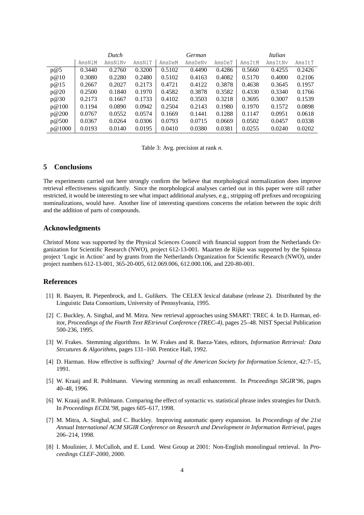|        | Dutch  |         |        | German |         |        | Italian |         |        |
|--------|--------|---------|--------|--------|---------|--------|---------|---------|--------|
|        | AmsN1M | AmsNlNv | AmsNlT | AmsDeM | AmsDeNy | AmsDeT | AmsItM  | AmsItNv | AmsItT |
| p@5    | 0.3440 | 0.2760  | 0.3200 | 0.5102 | 0.4490  | 0.4286 | 0.5660  | 0.4255  | 0.2426 |
| p@10   | 0.3080 | 0.2280  | 0.2480 | 0.5102 | 0.4163  | 0.4082 | 0.5170  | 0.4000  | 0.2106 |
| p@15   | 0.2667 | 0.2027  | 0.2173 | 0.4721 | 0.4122  | 0.3878 | 0.4638  | 0.3645  | 0.1957 |
| p@20   | 0.2500 | 0.1840  | 0.1970 | 0.4582 | 0.3878  | 0.3582 | 0.4330  | 0.3340  | 0.1766 |
| p@30   | 0.2173 | 0.1667  | 0.1733 | 0.4102 | 0.3503  | 0.3218 | 0.3695  | 0.3007  | 0.1539 |
| p@100  | 0.1194 | 0.0890  | 0.0942 | 0.2504 | 0.2143  | 0.1980 | 0.1970  | 0.1572  | 0.0898 |
| p@200  | 0.0767 | 0.0552  | 0.0574 | 0.1669 | 0.1441  | 0.1288 | 0.1147  | 0.0951  | 0.0618 |
| p@500  | 0.0367 | 0.0264  | 0.0306 | 0.0793 | 0.0715  | 0.0669 | 0.0502  | 0.0457  | 0.0338 |
| p@1000 | 0.0193 | 0.0140  | 0.0195 | 0.0410 | 0.0380  | 0.0381 | 0.0255  | 0.0240  | 0.0202 |

Table 3: Avg. precision at rank *n*.

## **5 Conclusions**

The experiments carried out here strongly confirm the believe that morphological normalization does improve retrieval effectiveness significantly. Since the morphological analyses carried out in this paper were still rather restricted, it would be interesting to see what impact additional analyses, e.g., stripping off prefixes and recognizing nominalizations, would have. Another line of interesting questions concerns the relation between the topic drift and the addition of parts of compounds.

#### **Acknowledgments**

Christof Monz was supported by the Physical Sciences Council with financial support from the Netherlands Organization for Scientific Research (NWO), project 612-13-001. Maarten de Rijke was supported by the Spinoza project 'Logic in Action' and by grants from the Netherlands Organization for Scientific Research (NWO), under project numbers 612-13-001, 365-20-005, 612.069.006, 612.000.106, and 220-80-001.

#### **References**

- [1] R. Baayen, R. Piepenbrock, and L. Gulikers. The CELEX lexical database (release 2). Distributed by the Linguistic Data Consortium, University of Pennsylvania, 1995.
- [2] C. Buckley, A. Singhal, and M. Mitra. New retrieval approaches using SMART: TREC 4. In D. Harman, editor, *Proceedings of the Fourth Text REtrieval Conference (TREC-4)*, pages 25–48. NIST Special Publication 500-236, 1995.
- [3] W. Frakes. Stemming algorithms. In W. Frakes and R. Baeza-Yates, editors, *Information Retrieval: Data Strcutures & Algorithms*, pages 131–160. Prentice Hall, 1992.
- [4] D. Harman. How effective is suffixing? *Journal of the American Society for Information Science*, 42:7–15, 1991.
- [5] W. Kraaij and R. Pohlmann. Viewing stemming as recall enhancement. In *Proceedings SIGIR'96*, pages 40–48, 1996.
- [6] W. Kraaij and R. Pohlmann. Comparing the effect of syntactic vs. statistical phrase index strategies for Dutch. In *Proceedings ECDL'98*, pages 605–617, 1998.
- [7] M. Mitra, A. Singhal, and C. Buckley. Improving automatic query expansion. In *Proceedings of the 21st Annual International ACM SIGIR Conference on Research and Development in Information Retrieval*, pages 206–214, 1998.
- [8] I. Moulinier, J. McCulloh, and E. Lund. West Group at 2001: Non-English monolingual retrieval. In *Proceedings CLEF-2000*, 2000.